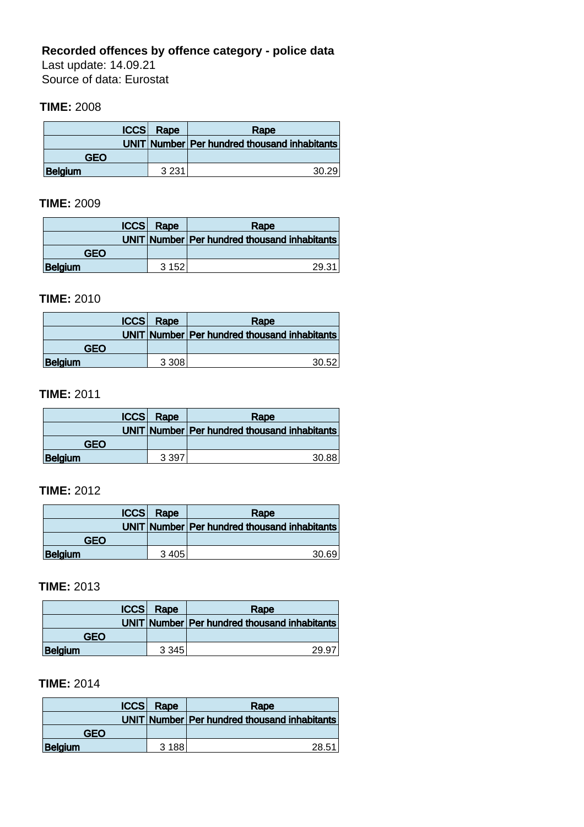# **Recorded offences by offence category - police data**

Last update: 14.09.21 Source of data: Eurostat

#### **TIME:** 2008

| ICCS    | Rape    | Rape                                         |
|---------|---------|----------------------------------------------|
|         |         | UNIT Number Per hundred thousand inhabitants |
| GFO     |         |                                              |
| Belgium | 3 2 3 1 | 30.29                                        |

#### **TIME:** 2009

| ICCS       | Rape  | Rape                                         |
|------------|-------|----------------------------------------------|
|            |       | UNIT Number Per hundred thousand inhabitants |
| <b>GFO</b> |       |                                              |
| Belgium    | 3 152 | 29.31                                        |

#### **TIME:** 2010

| ICCS    | Rape      | Rape                                         |
|---------|-----------|----------------------------------------------|
|         |           | UNIT Number Per hundred thousand inhabitants |
| GEO     |           |                                              |
| Belgium | 3 3 0 8 1 | 30.52                                        |

# **TIME:** 2011

| ICCS       | Rape    | Rape                                         |
|------------|---------|----------------------------------------------|
|            |         | UNIT Number Per hundred thousand inhabitants |
| <b>GEO</b> |         |                                              |
| Belgium    | 3 3 9 7 | 30.88                                        |

# **TIME:** 2012

| CCS     | Rape      | Rape                                           |
|---------|-----------|------------------------------------------------|
|         |           | UNIT Number   Per hundred thousand inhabitants |
| GFO     |           |                                                |
| Belgium | 3 4 0 5 1 | 30.69                                          |

### **TIME:** 2013

| <b>ICCS</b>    | Rape      | Rape                                         |
|----------------|-----------|----------------------------------------------|
|                |           | UNIT Number Per hundred thousand inhabitants |
| GEO            |           |                                              |
| <b>Belgium</b> | 3 3 4 5 1 | 29.97                                        |

# **TIME:** 2014

| <b>ICCS</b>    | Rape  | Rape                                         |
|----------------|-------|----------------------------------------------|
|                |       | UNIT Number Per hundred thousand inhabitants |
| GFO            |       |                                              |
| <b>Belgium</b> | 3 188 | 28.51                                        |